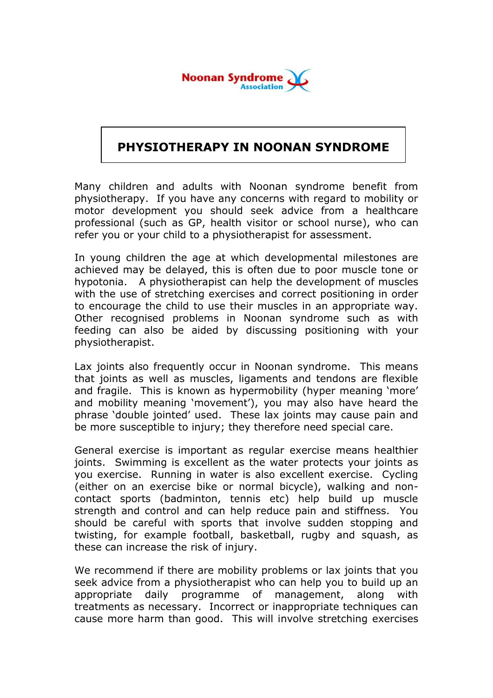

## **PHYSIOTHERAPY IN NOONAN SYNDROME**

Many children and adults with Noonan syndrome benefit from physiotherapy. If you have any concerns with regard to mobility or motor development you should seek advice from a healthcare professional (such as GP, health visitor or school nurse), who can refer you or your child to a physiotherapist for assessment.

In young children the age at which developmental milestones are achieved may be delayed, this is often due to poor muscle tone or hypotonia. A physiotherapist can help the development of muscles with the use of stretching exercises and correct positioning in order to encourage the child to use their muscles in an appropriate way. Other recognised problems in Noonan syndrome such as with feeding can also be aided by discussing positioning with your physiotherapist.

Lax joints also frequently occur in Noonan syndrome. This means that joints as well as muscles, ligaments and tendons are flexible and fragile. This is known as hypermobility (hyper meaning 'more' and mobility meaning 'movement'), you may also have heard the phrase 'double jointed' used. These lax joints may cause pain and be more susceptible to injury; they therefore need special care.

General exercise is important as regular exercise means healthier joints. Swimming is excellent as the water protects your joints as you exercise. Running in water is also excellent exercise. Cycling (either on an exercise bike or normal bicycle), walking and noncontact sports (badminton, tennis etc) help build up muscle strength and control and can help reduce pain and stiffness. You should be careful with sports that involve sudden stopping and twisting, for example football, basketball, rugby and squash, as these can increase the risk of injury.

We recommend if there are mobility problems or lax joints that you seek advice from a physiotherapist who can help you to build up an appropriate daily programme of management, along with treatments as necessary. Incorrect or inappropriate techniques can cause more harm than good. This will involve stretching exercises